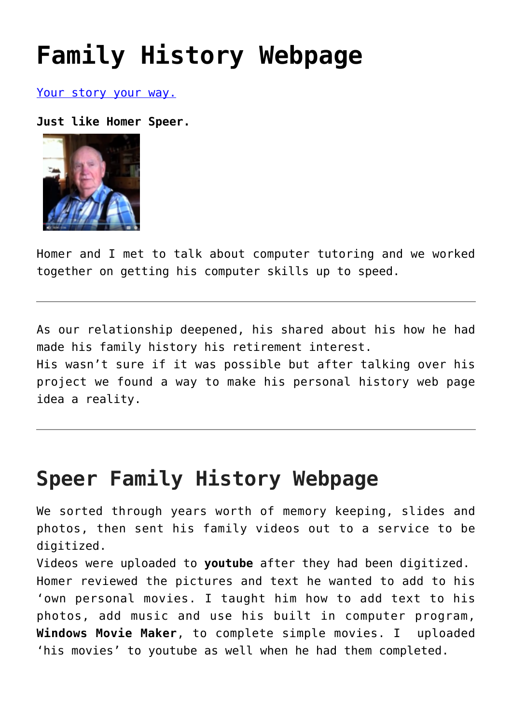## **[Family History Webpage](https://mybeautifullifestory.com/family-history-webpage/)**

[Your story your way.](https://mybeautifullifestory.com/homer-speers-living-memory-book/)

**Just like Homer Speer.**



Homer and I met to talk about computer tutoring and we worked together on getting his computer skills up to speed.

As our relationship deepened, his shared about his how he had made his family history his retirement interest. His wasn't sure if it was possible but after talking over his

project we found a way to make his personal history web page idea a reality.

## **Speer Family History Webpage**

We sorted through years worth of memory keeping, slides and photos, then sent his family videos out to a service to be digitized.

Videos were uploaded to **youtube** after they had been digitized. Homer reviewed the pictures and text he wanted to add to his 'own personal movies. I taught him how to add text to his photos, add music and use his built in computer program, **Windows Movie Maker**, to complete simple movies. I uploaded 'his movies' to youtube as well when he had them completed.